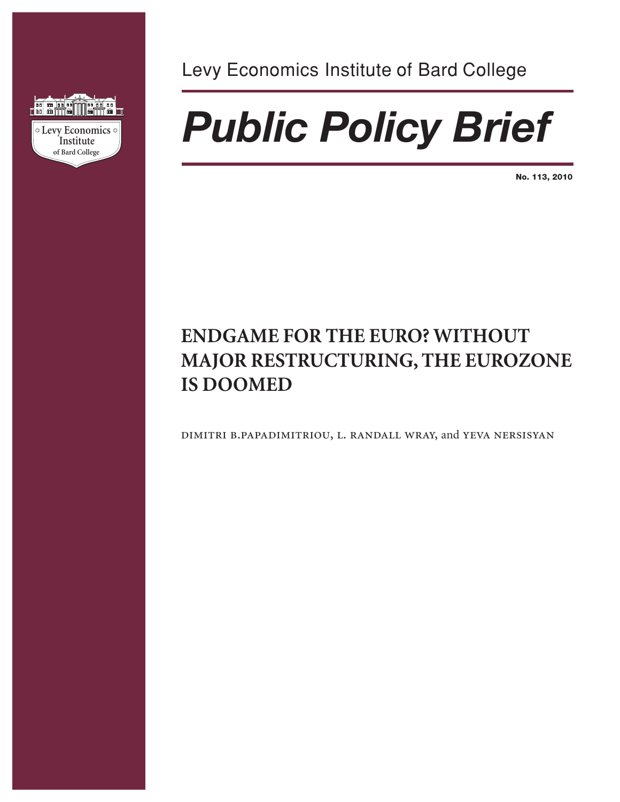

Levy Economics Institute of Bard College

# *Public Policy Brief*

**No. 113, 2010**

# **ENDGAME FOR THE EURO? WITHOUT MAJOR RESTRUCTURING, THE EUROZONE IS DOOMED**

dimitri b.papadimitriou, l. randall wray, and yeva nersisyan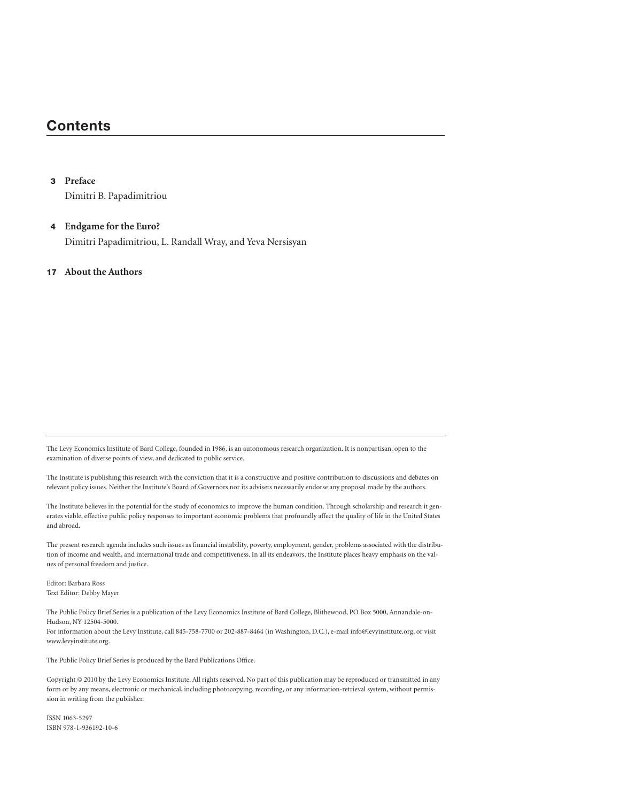# **Contents**

#### **3 Preface**

Dimitri B. Papadimitriou

### **4 Endgame for the Euro?**

Dimitri Papadimitriou, L. Randall Wray, and Yeva Nersisyan

### **17 About the Authors**

The Levy Economics Institute of Bard College, founded in 1986, is an autonomous research organization. It is nonpartisan, open to the examination of diverse points of view, and dedicated to public service.

The Institute is publishing this research with the conviction that it is a constructive and positive contribution to discussions and debates on relevant policy issues. Neither the Institute's Board of Governors nor its advisers necessarily endorse any proposal made by the authors.

The Institute believes in the potential for the study of economics to improve the human condition. Through scholarship and research it generates viable, effective public policy responses to important economic problems that profoundly affect the quality of life in the United States and abroad.

The present research agenda includes such issues as financial instability, poverty, employment, gender, problems associated with the distribution of income and wealth, and international trade and competitiveness. In all its endeavors, the Institute places heavy emphasis on the values of personal freedom and justice.

Editor: Barbara Ross Text Editor: Debby Mayer

The Public Policy Brief Series is a publication of the Levy Economics Institute of Bard College, Blithewood, PO Box 5000, Annandale-on-Hudson, NY 12504-5000. For information about the Levy Institute, call 845-758-7700 or 202-887-8464 (in Washington, D.C.), e-mail info@levyinstitute.org, or visit www.levyinstitute.org.

The Public Policy Brief Series is produced by the Bard Publications Office.

Copyright © 2010 by the Levy Economics Institute. All rights reserved. No part of this publication may be reproduced or transmitted in any form or by any means, electronic or mechanical, including photocopying, recording, or any information-retrieval system, without permission in writing from the publisher.

ISSN 1063-5297 ISBN 978-1-936192-10-6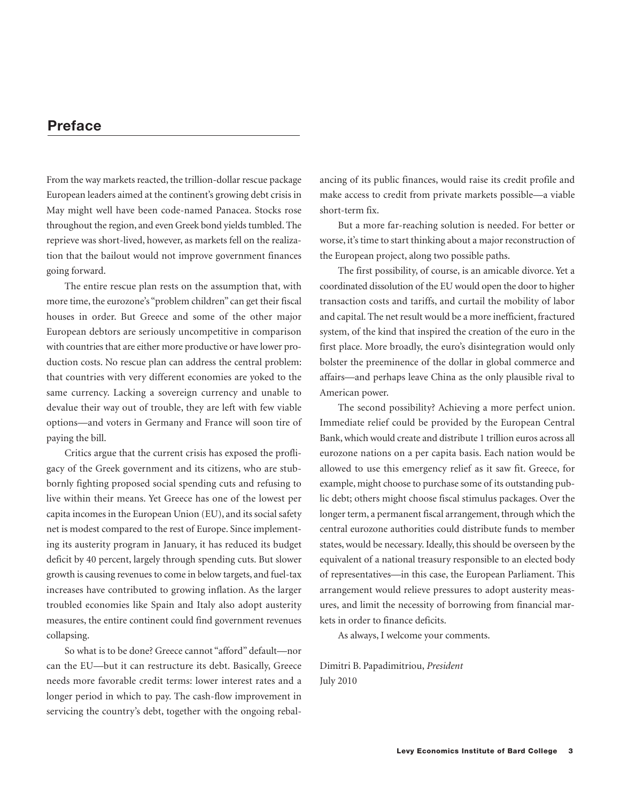## **Preface**

From the way markets reacted, the trillion-dollar rescue package European leaders aimed at the continent's growing debt crisis in May might well have been code-named Panacea. Stocks rose throughout the region, and even Greek bond yields tumbled. The reprieve was short-lived, however, as markets fell on the realization that the bailout would not improve government finances going forward.

The entire rescue plan rests on the assumption that, with more time, the eurozone's "problem children" can get their fiscal houses in order. But Greece and some of the other major European debtors are seriously uncompetitive in comparison with countries that are either more productive or have lower production costs. No rescue plan can address the central problem: that countries with very different economies are yoked to the same currency. Lacking a sovereign currency and unable to devalue their way out of trouble, they are left with few viable options—and voters in Germany and France will soon tire of paying the bill.

Critics argue that the current crisis has exposed the profligacy of the Greek government and its citizens, who are stubbornly fighting proposed social spending cuts and refusing to live within their means. Yet Greece has one of the lowest per capita incomes in the European Union (EU), and its social safety net is modest compared to the rest of Europe. Since implementing its austerity program in January, it has reduced its budget deficit by 40 percent, largely through spending cuts. But slower growth is causing revenues to come in below targets, and fuel-tax increases have contributed to growing inflation. As the larger troubled economies like Spain and Italy also adopt austerity measures, the entire continent could find government revenues collapsing.

So what is to be done? Greece cannot "afford" default—nor can the EU—but it can restructure its debt. Basically, Greece needs more favorable credit terms: lower interest rates and a longer period in which to pay. The cash-flow improvement in servicing the country's debt, together with the ongoing rebalancing of its public finances, would raise its credit profile and make access to credit from private markets possible—a viable short-term fix.

But a more far-reaching solution is needed. For better or worse, it's time to start thinking about a major reconstruction of the European project, along two possible paths.

The first possibility, of course, is an amicable divorce. Yet a coordinated dissolution of the EU would open the door to higher transaction costs and tariffs, and curtail the mobility of labor and capital. The net result would be a more inefficient, fractured system, of the kind that inspired the creation of the euro in the first place. More broadly, the euro's disintegration would only bolster the preeminence of the dollar in global commerce and affairs—and perhaps leave China as the only plausible rival to American power.

The second possibility? Achieving a more perfect union. Immediate relief could be provided by the European Central Bank, which would create and distribute 1 trillion euros across all eurozone nations on a per capita basis. Each nation would be allowed to use this emergency relief as it saw fit. Greece, for example, might choose to purchase some of its outstanding public debt; others might choose fiscal stimulus packages. Over the longer term, a permanent fiscal arrangement, through which the central eurozone authorities could distribute funds to member states, would be necessary. Ideally, this should be overseen by the equivalent of a national treasury responsible to an elected body of representatives—in this case, the European Parliament. This arrangement would relieve pressures to adopt austerity measures, and limit the necessity of borrowing from financial markets in order to finance deficits.

As always, I welcome your comments.

Dimitri B. Papadimitriou, *President* July 2010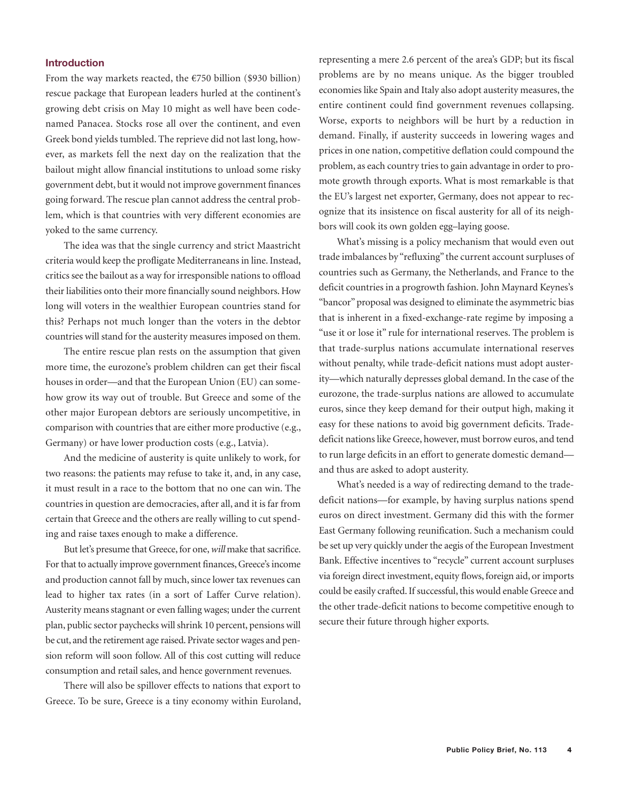### **Introduction**

From the way markets reacted, the  $\epsilon$ 750 billion (\$930 billion) rescue package that European leaders hurled at the continent's growing debt crisis on May 10 might as well have been codenamed Panacea. Stocks rose all over the continent, and even Greek bond yields tumbled. The reprieve did not last long, however, as markets fell the next day on the realization that the bailout might allow financial institutions to unload some risky government debt, but it would not improve government finances going forward. The rescue plan cannot address the central problem, which is that countries with very different economies are yoked to the same currency.

The idea was that the single currency and strict Maastricht criteria would keep the profligate Mediterraneans in line. Instead, critics see the bailout as a way for irresponsible nations to offload their liabilities onto their more financially sound neighbors. How long will voters in the wealthier European countries stand for this? Perhaps not much longer than the voters in the debtor countries will stand for the austerity measures imposed on them.

The entire rescue plan rests on the assumption that given more time, the eurozone's problem children can get their fiscal houses in order—and that the European Union (EU) can somehow grow its way out of trouble. But Greece and some of the other major European debtors are seriously uncompetitive, in comparison with countries that are either more productive (e.g., Germany) or have lower production costs (e.g., Latvia).

And the medicine of austerity is quite unlikely to work, for two reasons: the patients may refuse to take it, and, in any case, it must result in a race to the bottom that no one can win. The countries in question are democracies, after all, and it is far from certain that Greece and the others are really willing to cut spending and raise taxes enough to make a difference.

But let's presume that Greece, for one,*will* make that sacrifice. For that to actually improve government finances, Greece's income and production cannot fall by much, since lower tax revenues can lead to higher tax rates (in a sort of Laffer Curve relation). Austerity means stagnant or even falling wages; under the current plan, public sector paychecks will shrink 10 percent, pensions will be cut, and the retirement age raised. Private sector wages and pension reform will soon follow. All of this cost cutting will reduce consumption and retail sales, and hence government revenues.

There will also be spillover effects to nations that export to Greece. To be sure, Greece is a tiny economy within Euroland, representing a mere 2.6 percent of the area's GDP; but its fiscal problems are by no means unique. As the bigger troubled economies like Spain and Italy also adopt austerity measures, the entire continent could find government revenues collapsing. Worse, exports to neighbors will be hurt by a reduction in demand. Finally, if austerity succeeds in lowering wages and prices in one nation, competitive deflation could compound the problem, as each country tries to gain advantage in order to promote growth through exports. What is most remarkable is that the EU's largest net exporter, Germany, does not appear to recognize that its insistence on fiscal austerity for all of its neighbors will cook its own golden egg–laying goose.

What's missing is a policy mechanism that would even out trade imbalances by "refluxing" the current account surpluses of countries such as Germany, the Netherlands, and France to the deficit countries in a progrowth fashion. John Maynard Keynes's "bancor" proposal was designed to eliminate the asymmetric bias that is inherent in a fixed-exchange-rate regime by imposing a "use it or lose it" rule for international reserves. The problem is that trade-surplus nations accumulate international reserves without penalty, while trade-deficit nations must adopt austerity—which naturally depresses global demand. In the case of the eurozone, the trade-surplus nations are allowed to accumulate euros, since they keep demand for their output high, making it easy for these nations to avoid big government deficits. Tradedeficit nations like Greece, however, must borrow euros, and tend to run large deficits in an effort to generate domestic demand and thus are asked to adopt austerity.

What's needed is a way of redirecting demand to the tradedeficit nations—for example, by having surplus nations spend euros on direct investment. Germany did this with the former East Germany following reunification. Such a mechanism could be set up very quickly under the aegis of the European Investment Bank. Effective incentives to "recycle" current account surpluses via foreign direct investment, equity flows, foreign aid, or imports could be easily crafted. If successful, this would enable Greece and the other trade-deficit nations to become competitive enough to secure their future through higher exports.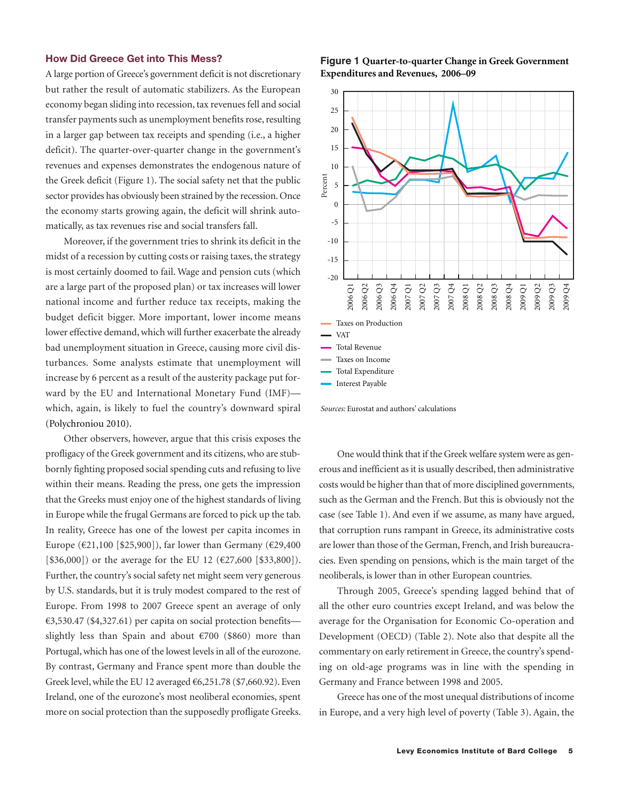### **How Did Greece Get into This Mess?**

A large portion of Greece's government deficit is not discretionary but rather the result of automatic stabilizers. As the European economy began sliding into recession, tax revenues fell and social transfer payments such as unemployment benefits rose, resulting in a larger gap between tax receipts and spending (i.e., a higher deficit). The quarter-over-quarter change in the government's revenues and expenses demonstrates the endogenous nature of the Greek deficit (Figure 1). The social safety net that the public sector provides has obviously been strained by the recession. Once the economy starts growing again, the deficit will shrink automatically, as tax revenues rise and social transfers fall.

Moreover, if the government tries to shrink its deficit in the midst of a recession by cutting costs or raising taxes, the strategy is most certainly doomed to fail. Wage and pension cuts (which are a large part of the proposed plan) or tax increases will lower national income and further reduce tax receipts, making the budget deficit bigger. More important, lower income means lower effective demand, which will further exacerbate the already bad unemployment situation in Greece, causing more civil disturbances. Some analysts estimate that unemployment will increase by 6 percent as a result of the austerity package put forward by the EU and International Monetary Fund (IMF) which, again, is likely to fuel the country's downward spiral (Polychroniou 2010).

Other observers, however, argue that this crisis exposes the profligacy of the Greek government and its citizens, who are stubbornly fighting proposed social spending cuts and refusing to live within their means. Reading the press, one gets the impression that the Greeks must enjoy one of the highest standards of living in Europe while the frugal Germans are forced to pick up the tab. In reality, Greece has one of the lowest per capita incomes in Europe (€21,100 [\$25,900]), far lower than Germany (€29,400 [ $$36,000]$ ] or the average for the EU 12 ( $$27,600$  [ $$33,800]$ ). Further, the country's social safety net might seem very generous by U.S. standards, but it is truly modest compared to the rest of Europe. From 1998 to 2007 Greece spent an average of only €3,530.47 (\$4,327.61) per capita on social protection benefits slightly less than Spain and about  $\epsilon$ 700 (\$860) more than Portugal, which has one of the lowest levels in all of the eurozone. By contrast, Germany and France spent more than double the Greek level, while the EU 12 averaged  $\epsilon$ 6,251.78 (\$7,660.92). Even Ireland, one of the eurozone's most neoliberal economies, spent more on social protection than the supposedly profligate Greeks.





One would think that if the Greek welfare system were as generous and inefficient as it is usually described, then administrative costs would be higher than that of more disciplined governments, such as the German and the French. But this is obviously not the case (see Table 1). And even if we assume, as many have argued, that corruption runs rampant in Greece, its administrative costs are lower than those of the German, French, and Irish bureaucracies. Even spending on pensions, which is the main target of the neoliberals, is lower than in other European countries.

Through 2005, Greece's spending lagged behind that of all the other euro countries except Ireland, and was below the average for the Organisation for Economic Co-operation and Development (OECD) (Table 2). Note also that despite all the commentary on early retirement in Greece, the country's spending on old-age programs was in line with the spending in Germany and France between 1998 and 2005.

Greece has one of the most unequal distributions of income in Europe, and a very high level of poverty (Table 3). Again, the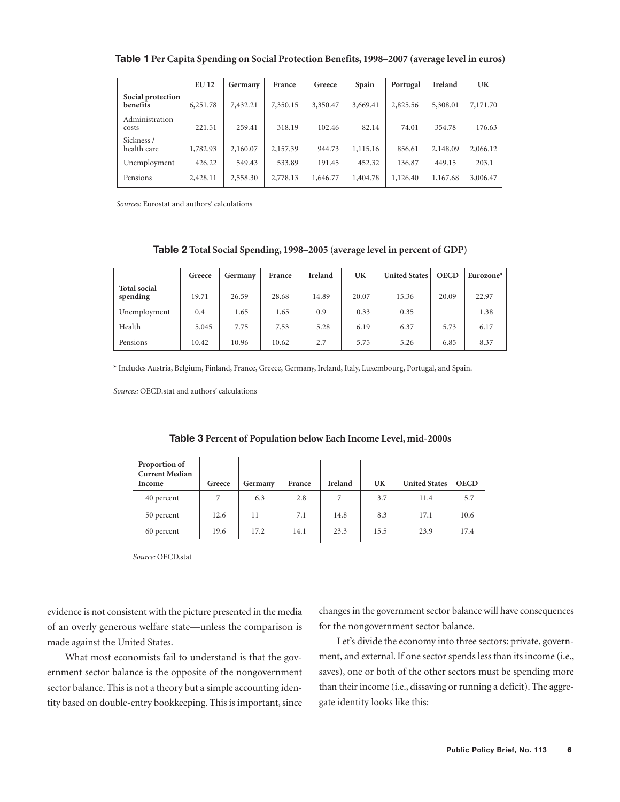|                               | <b>EU 12</b> | Germany  | France   | Greece   | Spain    | Portugal | Ireland  | UK       |
|-------------------------------|--------------|----------|----------|----------|----------|----------|----------|----------|
| Social protection<br>benefits | 6,251.78     | 7,432.21 | 7,350.15 | 3,350.47 | 3,669.41 | 2,825.56 | 5,308.01 | 7,171.70 |
| Administration<br>costs       | 221.51       | 259.41   | 318.19   | 102.46   | 82.14    | 74.01    | 354.78   | 176.63   |
| Sickness /<br>health care     | 1,782.93     | 2,160.07 | 2,157.39 | 944.73   | 1,115.16 | 856.61   | 2,148.09 | 2,066.12 |
| Unemployment                  | 426.22       | 549.43   | 533.89   | 191.45   | 452.32   | 136.87   | 449.15   | 203.1    |
| Pensions                      | 2,428.11     | 2,558.30 | 2,778.13 | 1,646.77 | 1,404.78 | 1,126.40 | 1,167.68 | 3,006.47 |

**Table 1 Per Capita Spending on Social Protection Benefits, 1998–2007 (average level in euros)**

*Sources:* Eurostat and authors' calculations

### **Table 2 Total Social Spending, 1998–2005 (average level in percent of GDP)**

|                                 | Greece | Germany | France | Ireland | UK    | <b>United States</b> | <b>OECD</b> | Eurozone $*$ |
|---------------------------------|--------|---------|--------|---------|-------|----------------------|-------------|--------------|
| <b>Total social</b><br>spending | 19.71  | 26.59   | 28.68  | 14.89   | 20.07 | 15.36                | 20.09       | 22.97        |
| Unemployment                    | 0.4    | 1.65    | 1.65   | 0.9     | 0.33  | 0.35                 |             | 1.38         |
| Health                          | 5.045  | 7.75    | 7.53   | 5.28    | 6.19  | 6.37                 | 5.73        | 6.17         |
| Pensions                        | 10.42  | 10.96   | 10.62  | 2.7     | 5.75  | 5.26                 | 6.85        | 8.37         |

\* Includes Austria, Belgium, Finland, France, Greece, Germany, Ireland, Italy, Luxembourg, Portugal, and Spain.

*Sources:* OECD.stat and authors' calculations

| Proportion of<br><b>Current Median</b><br>Income | Greece | Germany | France | Ireland | UK   | <b>United States</b> | <b>OECD</b> |
|--------------------------------------------------|--------|---------|--------|---------|------|----------------------|-------------|
| 40 percent                                       | 7      | 6.3     | 2.8    | 7       | 3.7  | 11.4                 | 5.7         |
| 50 percent                                       | 12.6   | 11      | 7.1    | 14.8    | 8.3  | 17.1                 | 10.6        |
| 60 percent                                       | 19.6   | 17.2    | 14.1   | 23.3    | 15.5 | 23.9                 | 17.4        |

|  |  | Table 3 Percent of Population below Each Income Level, mid-2000s |
|--|--|------------------------------------------------------------------|
|--|--|------------------------------------------------------------------|

*Source:* OECD.stat

evidence is not consistent with the picture presented in the media of an overly generous welfare state—unless the comparison is made against the United States.

What most economists fail to understand is that the government sector balance is the opposite of the nongovernment sector balance. This is not a theory but a simple accounting identity based on double-entry bookkeeping. This is important, since changes in the government sector balance will have consequences for the nongovernment sector balance.

Let's divide the economy into three sectors: private, government, and external. If one sector spends less than its income (i.e., saves), one or both of the other sectors must be spending more than their income (i.e., dissaving or running a deficit). The aggregate identity looks like this: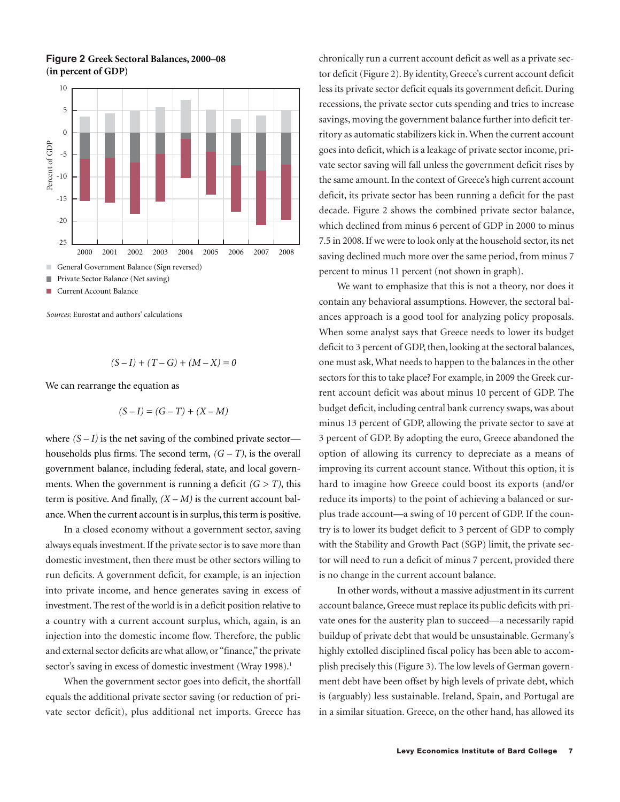

**Figure 2 Greek Sectoral Balances, 2000–08 (in percent of GDP)**



$$
(S-I) + (T-G) + (M-X) = 0
$$

We can rearrange the equation as

$$
(S - I) = (G - T) + (X - M)
$$

where  $(S - I)$  is the net saving of the combined private sector households plus firms. The second term,  $(G - T)$ , is the overall government balance, including federal, state, and local governments. When the government is running a deficit  $(G > T)$ , this term is positive. And finally,  $(X – M)$  is the current account balance. When the current account is in surplus, this term is positive.

In a closed economy without a government sector, saving always equals investment. If the private sector is to save more than domestic investment, then there must be other sectors willing to run deficits. A government deficit, for example, is an injection into private income, and hence generates saving in excess of investment. The rest of the world is in a deficit position relative to a country with a current account surplus, which, again, is an injection into the domestic income flow. Therefore, the public and external sector deficits are what allow, or "finance," the private sector's saving in excess of domestic investment (Wray 1998).<sup>1</sup>

When the government sector goes into deficit, the shortfall equals the additional private sector saving (or reduction of private sector deficit), plus additional net imports. Greece has chronically run a current account deficit as well as a private sector deficit (Figure 2). By identity, Greece's current account deficit less its private sector deficit equals its government deficit. During recessions, the private sector cuts spending and tries to increase savings, moving the government balance further into deficit territory as automatic stabilizers kick in. When the current account goes into deficit, which is a leakage of private sector income, private sector saving will fall unless the government deficit rises by the same amount. In the context of Greece's high current account deficit, its private sector has been running a deficit for the past decade. Figure 2 shows the combined private sector balance, which declined from minus 6 percent of GDP in 2000 to minus 7.5 in 2008. If we were to look only at the household sector, its net saving declined much more over the same period, from minus 7 percent to minus 11 percent (not shown in graph).

We want to emphasize that this is not a theory, nor does it contain any behavioral assumptions. However, the sectoral balances approach is a good tool for analyzing policy proposals. When some analyst says that Greece needs to lower its budget deficit to 3 percent of GDP, then, looking at the sectoral balances, one must ask, What needs to happen to the balances in the other sectors for this to take place? For example, in 2009 the Greek current account deficit was about minus 10 percent of GDP. The budget deficit, including central bank currency swaps, was about minus 13 percent of GDP, allowing the private sector to save at 3 percent of GDP. By adopting the euro, Greece abandoned the option of allowing its currency to depreciate as a means of improving its current account stance. Without this option, it is hard to imagine how Greece could boost its exports (and/or reduce its imports) to the point of achieving a balanced or surplus trade account—a swing of 10 percent of GDP. If the country is to lower its budget deficit to 3 percent of GDP to comply with the Stability and Growth Pact (SGP) limit, the private sector will need to run a deficit of minus 7 percent, provided there is no change in the current account balance.

In other words, without a massive adjustment in its current account balance, Greece must replace its public deficits with private ones for the austerity plan to succeed—a necessarily rapid buildup of private debt that would be unsustainable. Germany's highly extolled disciplined fiscal policy has been able to accomplish precisely this (Figure 3). The low levels of German government debt have been offset by high levels of private debt, which is (arguably) less sustainable. Ireland, Spain, and Portugal are in a similar situation. Greece, on the other hand, has allowed its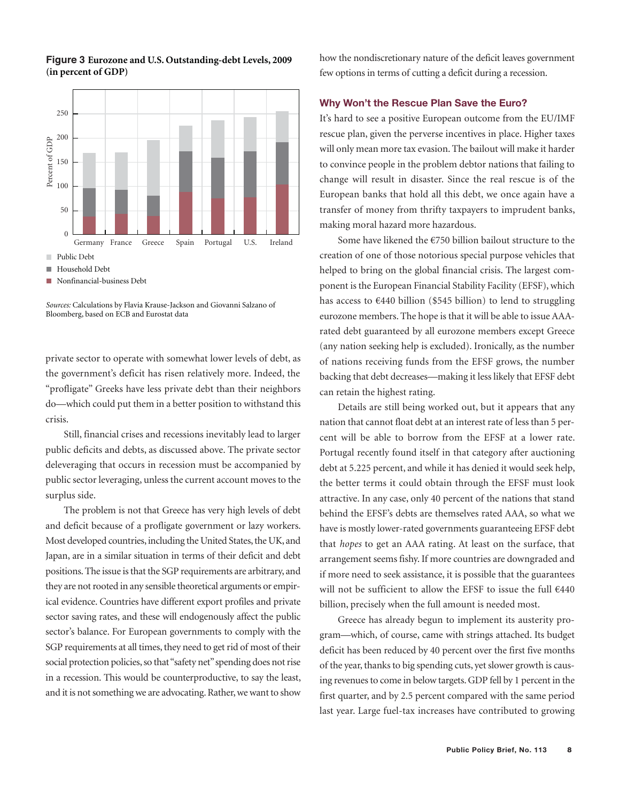

### **Figure 3 Eurozone and U.S. Outstanding-debt Levels, 2009 (in percent of GDP)**

*Sources:* Calculations by Flavia Krause-Jackson and Giovanni Salzano of Bloomberg, based on ECB and Eurostat data

private sector to operate with somewhat lower levels of debt, as the government's deficit has risen relatively more. Indeed, the "profligate" Greeks have less private debt than their neighbors do—which could put them in a better position to withstand this crisis.

Still, financial crises and recessions inevitably lead to larger public deficits and debts, as discussed above. The private sector deleveraging that occurs in recession must be accompanied by public sector leveraging, unless the current account moves to the surplus side.

The problem is not that Greece has very high levels of debt and deficit because of a profligate government or lazy workers. Most developed countries, including the United States, the UK, and Japan, are in a similar situation in terms of their deficit and debt positions. The issue is that the SGP requirements are arbitrary, and they are not rooted in any sensible theoretical arguments or empirical evidence. Countries have different export profiles and private sector saving rates, and these will endogenously affect the public sector's balance. For European governments to comply with the SGP requirements at all times, they need to get rid of most of their social protection policies, so that "safety net" spending does not rise in a recession. This would be counterproductive, to say the least, and it is not something we are advocating. Rather, we want to show

how the nondiscretionary nature of the deficit leaves government few options in terms of cutting a deficit during a recession.

### **Why Won't the Rescue Plan Save the Euro?**

It's hard to see a positive European outcome from the EU/IMF rescue plan, given the perverse incentives in place. Higher taxes will only mean more tax evasion. The bailout will make it harder to convince people in the problem debtor nations that failing to change will result in disaster. Since the real rescue is of the European banks that hold all this debt, we once again have a transfer of money from thrifty taxpayers to imprudent banks, making moral hazard more hazardous.

Some have likened the €750 billion bailout structure to the creation of one of those notorious special purpose vehicles that helped to bring on the global financial crisis. The largest component is the European Financial Stability Facility (EFSF), which has access to  $€440$  billion (\$545 billion) to lend to struggling eurozone members. The hope is that it will be able to issue AAArated debt guaranteed by all eurozone members except Greece (any nation seeking help is excluded). Ironically, as the number of nations receiving funds from the EFSF grows, the number backing that debt decreases—making it less likely that EFSF debt can retain the highest rating.

Details are still being worked out, but it appears that any nation that cannot float debt at an interest rate of less than 5 percent will be able to borrow from the EFSF at a lower rate. Portugal recently found itself in that category after auctioning debt at 5.225 percent, and while it has denied it would seek help, the better terms it could obtain through the EFSF must look attractive. In any case, only 40 percent of the nations that stand behind the EFSF's debts are themselves rated AAA, so what we have is mostly lower-rated governments guaranteeing EFSF debt that *hopes* to get an AAA rating. At least on the surface, that arrangement seems fishy. If more countries are downgraded and if more need to seek assistance, it is possible that the guarantees will not be sufficient to allow the EFSF to issue the full €440 billion, precisely when the full amount is needed most.

Greece has already begun to implement its austerity program—which, of course, came with strings attached. Its budget deficit has been reduced by 40 percent over the first five months of the year, thanks to big spending cuts, yet slower growth is causing revenues to come in below targets. GDP fell by 1 percent in the first quarter, and by 2.5 percent compared with the same period last year. Large fuel-tax increases have contributed to growing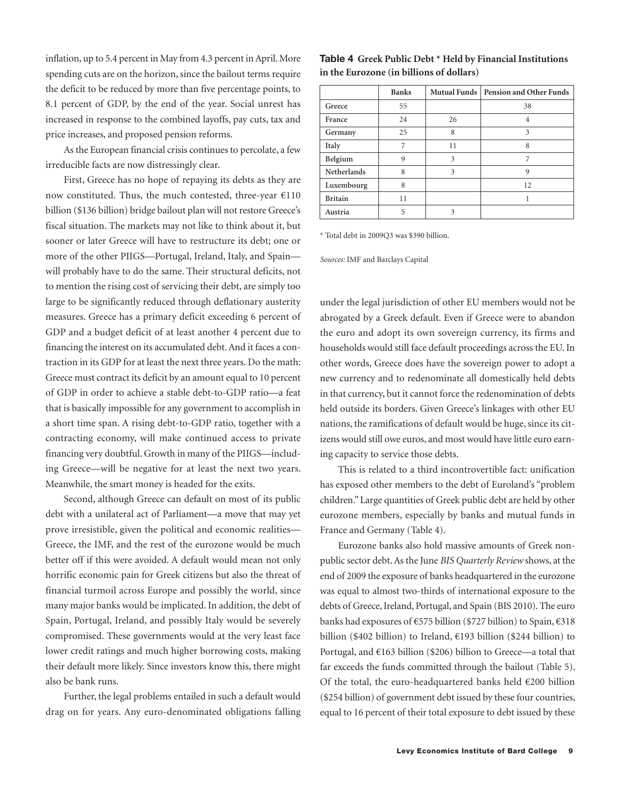inflation, up to 5.4 percent in May from 4.3 percent in April. More spending cuts are on the horizon, since the bailout terms require the deficit to be reduced by more than five percentage points, to 8.1 percent of GDP, by the end of the year. Social unrest has increased in response to the combined layoffs, pay cuts, tax and price increases, and proposed pension reforms.

As the European financial crisis continues to percolate, a few irreducible facts are now distressingly clear.

First, Greece has no hope of repaying its debts as they are now constituted. Thus, the much contested, three-year €110 billion (\$136 billion) bridge bailout plan will not restore Greece's fiscal situation. The markets may not like to think about it, but sooner or later Greece will have to restructure its debt; one or more of the other PIIGS—Portugal, Ireland, Italy, and Spain will probably have to do the same. Their structural deficits, not to mention the rising cost of servicing their debt, are simply too large to be significantly reduced through deflationary austerity measures. Greece has a primary deficit exceeding 6 percent of GDP and a budget deficit of at least another 4 percent due to financing the interest on its accumulated debt. And it faces a contraction in its GDP for at least the next three years. Do the math: Greece must contract its deficit by an amount equal to 10 percent of GDP in order to achieve a stable debt-to-GDP ratio—a feat that is basically impossible for any government to accomplish in a short time span. A rising debt-to-GDP ratio, together with a contracting economy, will make continued access to private financing very doubtful. Growth in many of the PIIGS—including Greece—will be negative for at least the next two years. Meanwhile, the smart money is headed for the exits.

Second, although Greece can default on most of its public debt with a unilateral act of Parliament—a move that may yet prove irresistible, given the political and economic realities— Greece, the IMF, and the rest of the eurozone would be much better off if this were avoided. A default would mean not only horrific economic pain for Greek citizens but also the threat of financial turmoil across Europe and possibly the world, since many major banks would be implicated. In addition, the debt of Spain, Portugal, Ireland, and possibly Italy would be severely compromised. These governments would at the very least face lower credit ratings and much higher borrowing costs, making their default more likely. Since investors know this, there might also be bank runs.

Further, the legal problems entailed in such a default would drag on for years. Any euro-denominated obligations falling

| in the Eurozone (in billions of dollars) |              |    |                                        |  |  |  |
|------------------------------------------|--------------|----|----------------------------------------|--|--|--|
|                                          | <b>Banks</b> |    | Mutual Funds   Pension and Other Funds |  |  |  |
| Greece                                   | 55           |    | 38                                     |  |  |  |
| France                                   | 24           | 26 |                                        |  |  |  |

| Greece             | ככ |    | 38 |
|--------------------|----|----|----|
| France             | 24 | 26 |    |
| Germany            | 25 | 8  | 3  |
| Italy              | 7  | 11 | 8  |
| Belgium            | 9  | 3  |    |
| <b>Netherlands</b> | 8  | 3  | a  |
| Luxembourg         | 8  |    | 12 |
| <b>Britain</b>     | 11 |    |    |
| Austria            |    |    |    |

\* Total debt in 2009Q3 was \$390 billion.

*Sources:* IMF and Barclays Capital

under the legal jurisdiction of other EU members would not be abrogated by a Greek default. Even if Greece were to abandon the euro and adopt its own sovereign currency, its firms and households would still face default proceedings across the EU. In other words, Greece does have the sovereign power to adopt a new currency and to redenominate all domestically held debts in that currency, but it cannot force the redenomination of debts held outside its borders. Given Greece's linkages with other EU nations, the ramifications of default would be huge, since its citizens would still owe euros, and most would have little euro earning capacity to service those debts.

This is related to a third incontrovertible fact: unification has exposed other members to the debt of Euroland's "problem children." Large quantities of Greek public debt are held by other eurozone members, especially by banks and mutual funds in France and Germany (Table 4).

Eurozone banks also hold massive amounts of Greek nonpublic sector debt. As the June *BIS Quarterly Review* shows, at the end of 2009 the exposure of banks headquartered in the eurozone was equal to almost two-thirds of international exposure to the debts of Greece, Ireland, Portugal, and Spain (BIS 2010). The euro banks had exposures of €575 billion (\$727 billion) to Spain, €318 billion (\$402 billion) to Ireland, €193 billion (\$244 billion) to Portugal, and €163 billion (\$206) billion to Greece—a total that far exceeds the funds committed through the bailout (Table 5). Of the total, the euro-headquartered banks held  $\epsilon$ 200 billion (\$254 billion) of government debt issued by these four countries, equal to 16 percent of their total exposure to debt issued by these

# **Table 4 Greek Public Debt \* Held by Financial Institutions**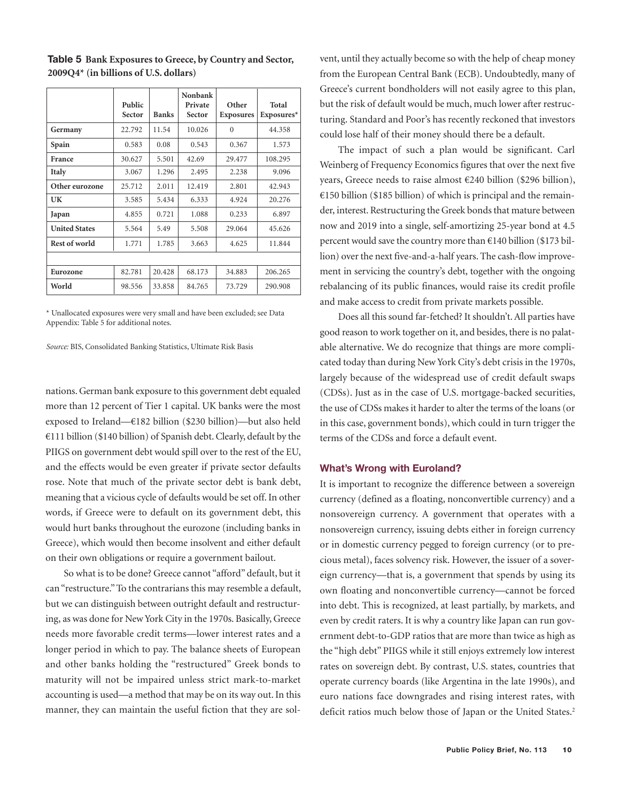|                      | Public<br>Sector | <b>Banks</b> | Nonbank<br>Private<br>Sector | Other<br><b>Exposures</b> | Total<br>$Exposures*$ |
|----------------------|------------------|--------------|------------------------------|---------------------------|-----------------------|
| Germany              | 22.792           | 11.54        | 10.026                       | $\theta$                  | 44.358                |
| Spain                | 0.583            | 0.08         | 0.543                        | 0.367                     | 1.573                 |
| France               | 30.627           | 5.501        | 42.69                        | 29.477                    | 108.295               |
| Italy                | 3.067            | 1.296        | 2.495                        | 2.238                     | 9.096                 |
| Other eurozone       | 25.712           | 2.011        | 12.419                       | 2.801                     | 42.943                |
| UK                   | 3.585            | 5.434        | 6.333                        | 4.924                     | 20.276                |
| Japan                | 4.855            | 0.721        | 1.088                        | 0.233                     | 6.897                 |
| <b>United States</b> | 5.564            | 5.49         | 5.508                        | 29.064                    | 45.626                |
| Rest of world        | 1.771            | 1.785        | 3.663                        | 4.625                     | 11.844                |
|                      |                  |              |                              |                           |                       |
| Eurozone             | 82.781           | 20.428       | 68.173                       | 34.883                    | 206.265               |
| World                | 98.556           | 33.858       | 84.765                       | 73.729                    | 290.908               |

**Table 5 Bank Exposures to Greece, by Country and Sector, 2009Q4\* (in billions of U.S. dollars)**

\* Unallocated exposures were very small and have been excluded; see Data Appendix: Table 5 for additional notes.

*Source:* BIS, Consolidated Banking Statistics, Ultimate Risk Basis

nations. German bank exposure to this government debt equaled more than 12 percent of Tier 1 capital. UK banks were the most exposed to Ireland—€182 billion (\$230 billion)—but also held €111 billion (\$140 billion) of Spanish debt. Clearly, default by the PIIGS on government debt would spill over to the rest of the EU, and the effects would be even greater if private sector defaults rose. Note that much of the private sector debt is bank debt, meaning that a vicious cycle of defaults would be set off. In other words, if Greece were to default on its government debt, this would hurt banks throughout the eurozone (including banks in Greece), which would then become insolvent and either default on their own obligations or require a government bailout.

So what is to be done? Greece cannot "afford" default, but it can "restructure." To the contrarians this may resemble a default, but we can distinguish between outright default and restructuring, as was done for New York City in the 1970s. Basically, Greece needs more favorable credit terms—lower interest rates and a longer period in which to pay. The balance sheets of European and other banks holding the "restructured" Greek bonds to maturity will not be impaired unless strict mark-to-market accounting is used—a method that may be on its way out. In this manner, they can maintain the useful fiction that they are solvent, until they actually become so with the help of cheap money from the European Central Bank (ECB). Undoubtedly, many of Greece's current bondholders will not easily agree to this plan, but the risk of default would be much, much lower after restructuring. Standard and Poor's has recently reckoned that investors could lose half of their money should there be a default.

The impact of such a plan would be significant. Carl Weinberg of Frequency Economics figures that over the next five years, Greece needs to raise almost €240 billion (\$296 billion), €150 billion (\$185 billion) of which is principal and the remainder, interest. Restructuring the Greek bonds that mature between now and 2019 into a single, self-amortizing 25-year bond at 4.5 percent would save the country more than €140 billion (\$173 billion) over the next five-and-a-half years. The cash-flow improvement in servicing the country's debt, together with the ongoing rebalancing of its public finances, would raise its credit profile and make access to credit from private markets possible.

Does all this sound far-fetched? It shouldn't. All parties have good reason to work together on it, and besides, there is no palatable alternative. We do recognize that things are more complicated today than during New York City's debt crisis in the 1970s, largely because of the widespread use of credit default swaps (CDSs). Just as in the case of U.S. mortgage-backed securities, the use of CDSs makes it harder to alter the terms of the loans (or in this case, government bonds), which could in turn trigger the terms of the CDSs and force a default event.

### **What's Wrong with Euroland?**

It is important to recognize the difference between a sovereign currency (defined as a floating, nonconvertible currency) and a nonsovereign currency. A government that operates with a nonsovereign currency, issuing debts either in foreign currency or in domestic currency pegged to foreign currency (or to precious metal), faces solvency risk. However, the issuer of a sovereign currency—that is, a government that spends by using its own floating and nonconvertible currency—cannot be forced into debt. This is recognized, at least partially, by markets, and even by credit raters. It is why a country like Japan can run government debt-to-GDP ratios that are more than twice as high as the "high debt" PIIGS while it still enjoys extremely low interest rates on sovereign debt. By contrast, U.S. states, countries that operate currency boards (like Argentina in the late 1990s), and euro nations face downgrades and rising interest rates, with deficit ratios much below those of Japan or the United States.<sup>2</sup>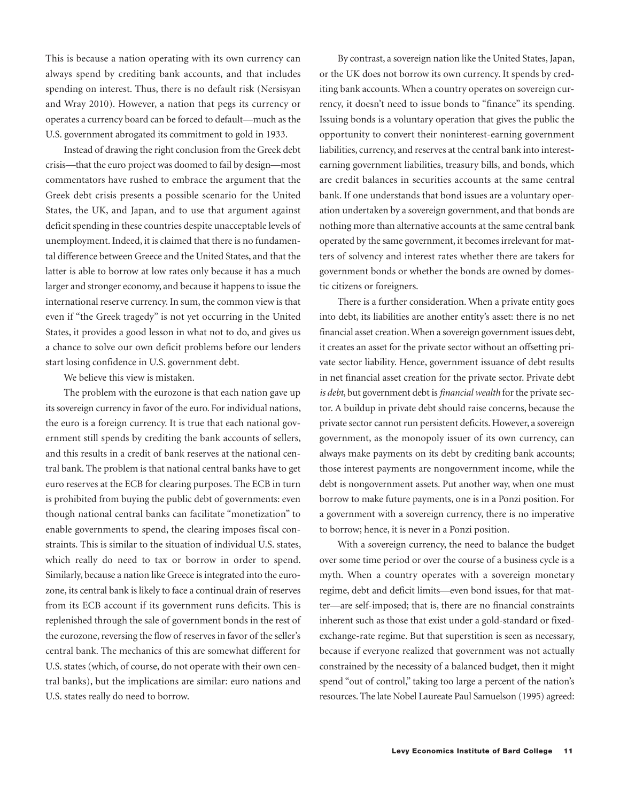This is because a nation operating with its own currency can always spend by crediting bank accounts, and that includes spending on interest. Thus, there is no default risk (Nersisyan and Wray 2010). However, a nation that pegs its currency or operates a currency board can be forced to default—much as the U.S. government abrogated its commitment to gold in 1933.

Instead of drawing the right conclusion from the Greek debt crisis—that the euro project was doomed to fail by design—most commentators have rushed to embrace the argument that the Greek debt crisis presents a possible scenario for the United States, the UK, and Japan, and to use that argument against deficit spending in these countries despite unacceptable levels of unemployment. Indeed, it is claimed that there is no fundamental difference between Greece and the United States, and that the latter is able to borrow at low rates only because it has a much larger and stronger economy, and because it happens to issue the international reserve currency. In sum, the common view is that even if "the Greek tragedy" is not yet occurring in the United States, it provides a good lesson in what not to do, and gives us a chance to solve our own deficit problems before our lenders start losing confidence in U.S. government debt.

We believe this view is mistaken.

The problem with the eurozone is that each nation gave up its sovereign currency in favor of the euro. For individual nations, the euro is a foreign currency. It is true that each national government still spends by crediting the bank accounts of sellers, and this results in a credit of bank reserves at the national central bank. The problem is that national central banks have to get euro reserves at the ECB for clearing purposes. The ECB in turn is prohibited from buying the public debt of governments: even though national central banks can facilitate "monetization" to enable governments to spend, the clearing imposes fiscal constraints. This is similar to the situation of individual U.S. states, which really do need to tax or borrow in order to spend. Similarly, because a nation like Greece is integrated into the eurozone, its central bank is likely to face a continual drain of reserves from its ECB account if its government runs deficits. This is replenished through the sale of government bonds in the rest of the eurozone, reversing the flow of reserves in favor of the seller's central bank. The mechanics of this are somewhat different for U.S. states (which, of course, do not operate with their own central banks), but the implications are similar: euro nations and U.S. states really do need to borrow.

By contrast, a sovereign nation like the United States, Japan, or the UK does not borrow its own currency. It spends by crediting bank accounts. When a country operates on sovereign currency, it doesn't need to issue bonds to "finance" its spending. Issuing bonds is a voluntary operation that gives the public the opportunity to convert their noninterest-earning government liabilities, currency, and reserves at the central bank into interestearning government liabilities, treasury bills, and bonds, which are credit balances in securities accounts at the same central bank. If one understands that bond issues are a voluntary operation undertaken by a sovereign government, and that bonds are nothing more than alternative accounts at the same central bank operated by the same government, it becomes irrelevant for matters of solvency and interest rates whether there are takers for government bonds or whether the bonds are owned by domestic citizens or foreigners.

There is a further consideration. When a private entity goes into debt, its liabilities are another entity's asset: there is no net financial asset creation. When a sovereign government issues debt, it creates an asset for the private sector without an offsetting private sector liability. Hence, government issuance of debt results in net financial asset creation for the private sector. Private debt *is debt*, but government debt is *financial wealth* for the private sector. A buildup in private debt should raise concerns, because the private sector cannot run persistent deficits. However, a sovereign government, as the monopoly issuer of its own currency, can always make payments on its debt by crediting bank accounts; those interest payments are nongovernment income, while the debt is nongovernment assets. Put another way, when one must borrow to make future payments, one is in a Ponzi position. For a government with a sovereign currency, there is no imperative to borrow; hence, it is never in a Ponzi position.

With a sovereign currency, the need to balance the budget over some time period or over the course of a business cycle is a myth. When a country operates with a sovereign monetary regime, debt and deficit limits—even bond issues, for that matter—are self-imposed; that is, there are no financial constraints inherent such as those that exist under a gold-standard or fixedexchange-rate regime. But that superstition is seen as necessary, because if everyone realized that government was not actually constrained by the necessity of a balanced budget, then it might spend "out of control," taking too large a percent of the nation's resources. The late Nobel Laureate Paul Samuelson (1995) agreed: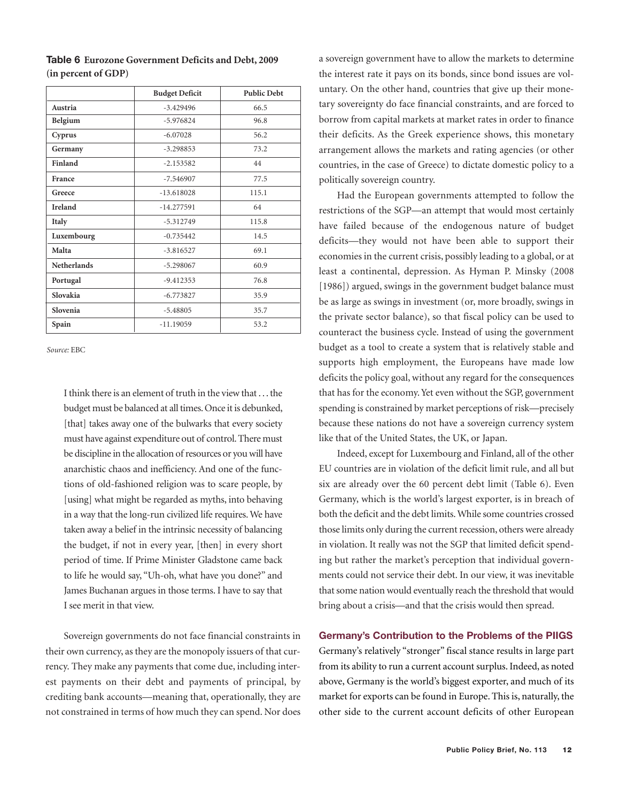|                    | <b>Budget Deficit</b> | <b>Public Debt</b> |
|--------------------|-----------------------|--------------------|
| Austria            | $-3.429496$           | 66.5               |
| Belgium            | $-5.976824$           | 96.8               |
| Cyprus             | $-6.07028$            | 56.2               |
| Germany            | $-3.298853$           | 73.2               |
| Finland            | $-2.153582$           | 44                 |
| France             | $-7.546907$           | 77.5               |
| Greece             | $-13.618028$          | 115.1              |
| <b>Ireland</b>     | $-14.277591$          | 64                 |
| Italy              | $-5.312749$           | 115.8              |
| Luxembourg         | $-0.735442$           | 14.5               |
| Malta              | $-3.816527$           | 69.1               |
| <b>Netherlands</b> | $-5.298067$           | 60.9               |
| Portugal           | $-9.412353$           | 76.8               |
| Slovakia           | $-6.773827$           | 35.9               |
| Slovenia           | $-5.48805$            | 35.7               |
| Spain              | $-11.19059$           | 53.2               |

**Table 6 Eurozone Government Deficits and Debt, 2009 (in percent of GDP)**

*Source:* EBC

I think there is an element of truth in the view that . . . the budget must be balanced at all times. Once it is debunked, [that] takes away one of the bulwarks that every society must have against expenditure out of control. There must be discipline in the allocation of resources or you will have anarchistic chaos and inefficiency. And one of the functions of old-fashioned religion was to scare people, by [using] what might be regarded as myths, into behaving in a way that the long-run civilized life requires. We have taken away a belief in the intrinsic necessity of balancing the budget, if not in every year, [then] in every short period of time. If Prime Minister Gladstone came back to life he would say, "Uh-oh, what have you done?" and James Buchanan argues in those terms. I have to say that I see merit in that view.

Sovereign governments do not face financial constraints in their own currency, as they are the monopoly issuers of that currency. They make any payments that come due, including interest payments on their debt and payments of principal, by crediting bank accounts—meaning that, operationally, they are not constrained in terms of how much they can spend. Nor does

a sovereign government have to allow the markets to determine the interest rate it pays on its bonds, since bond issues are voluntary. On the other hand, countries that give up their monetary sovereignty do face financial constraints, and are forced to borrow from capital markets at market rates in order to finance their deficits. As the Greek experience shows, this monetary arrangement allows the markets and rating agencies (or other countries, in the case of Greece) to dictate domestic policy to a politically sovereign country.

Had the European governments attempted to follow the restrictions of the SGP—an attempt that would most certainly have failed because of the endogenous nature of budget deficits—they would not have been able to support their economies in the current crisis, possibly leading to a global, or at least a continental, depression. As Hyman P. Minsky (2008 [1986]) argued, swings in the government budget balance must be as large as swings in investment (or, more broadly, swings in the private sector balance), so that fiscal policy can be used to counteract the business cycle. Instead of using the government budget as a tool to create a system that is relatively stable and supports high employment, the Europeans have made low deficits the policy goal, without any regard for the consequences that has for the economy. Yet even without the SGP, government spending is constrained by market perceptions of risk—precisely because these nations do not have a sovereign currency system like that of the United States, the UK, or Japan.

Indeed, except for Luxembourg and Finland, all of the other EU countries are in violation of the deficit limit rule, and all but six are already over the 60 percent debt limit (Table 6). Even Germany, which is the world's largest exporter, is in breach of both the deficit and the debt limits. While some countries crossed those limits only during the current recession, others were already in violation. It really was not the SGP that limited deficit spending but rather the market's perception that individual governments could not service their debt. In our view, it was inevitable that some nation would eventually reach the threshold that would bring about a crisis—and that the crisis would then spread.

### **Germany's Contribution to the Problems of the PIIGS**

Germany's relatively "stronger" fiscal stance results in large part from its ability to run a current account surplus. Indeed, as noted above, Germany is the world's biggest exporter, and much of its market for exports can be found in Europe. This is, naturally, the other side to the current account deficits of other European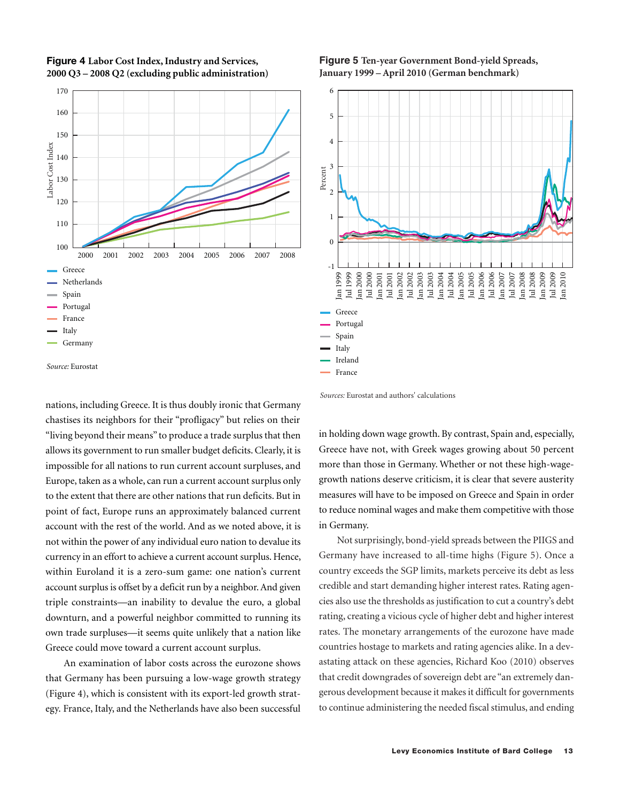

### **Figure 4 Labor Cost Index, Industry and Services, 2000 Q3 – 2008 Q2 (excluding public administration)**

*Source:* Eurostat

nations, including Greece. It is thus doubly ironic that Germany chastises its neighbors for their "profligacy" but relies on their "living beyond their means" to produce a trade surplus that then allows its government to run smaller budget deficits. Clearly, it is impossible for all nations to run current account surpluses, and Europe, taken as a whole, can run a current account surplus only to the extent that there are other nations that run deficits. But in point of fact, Europe runs an approximately balanced current account with the rest of the world. And as we noted above, it is not within the power of any individual euro nation to devalue its currency in an effort to achieve a current account surplus. Hence, within Euroland it is a zero-sum game: one nation's current account surplus is offset by a deficit run by a neighbor. And given triple constraints—an inability to devalue the euro, a global downturn, and a powerful neighbor committed to running its own trade surpluses—it seems quite unlikely that a nation like Greece could move toward a current account surplus.

An examination of labor costs across the eurozone shows that Germany has been pursuing a low-wage growth strategy (Figure 4), which is consistent with its export-led growth strategy. France, Italy, and the Netherlands have also been successful

### **Figure 5 Ten-year Government Bond-yield Spreads, January 1999 – April 2010 (German benchmark)**



*Sources:* Eurostat and authors' calculations

in holding down wage growth. By contrast, Spain and, especially, Greece have not, with Greek wages growing about 50 percent more than those in Germany. Whether or not these high-wagegrowth nations deserve criticism, it is clear that severe austerity measures will have to be imposed on Greece and Spain in order to reduce nominal wages and make them competitive with those in Germany.

Not surprisingly, bond-yield spreads between the PIIGS and Germany have increased to all-time highs (Figure 5). Once a country exceeds the SGP limits, markets perceive its debt as less credible and start demanding higher interest rates. Rating agencies also use the thresholds as justification to cut a country's debt rating, creating a vicious cycle of higher debt and higher interest rates. The monetary arrangements of the eurozone have made countries hostage to markets and rating agencies alike. In a devastating attack on these agencies, Richard Koo (2010) observes that credit downgrades of sovereign debt are "an extremely dangerous development because it makes it difficult for governments to continue administering the needed fiscal stimulus, and ending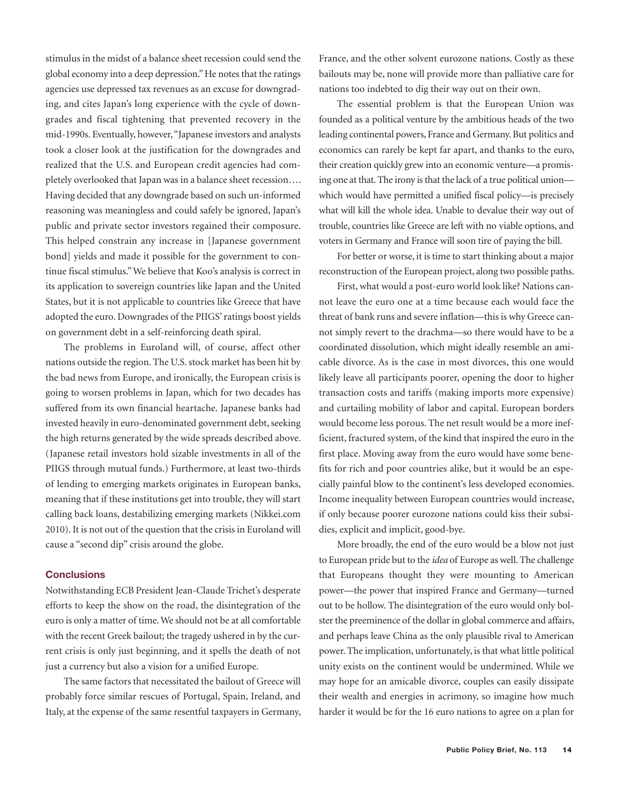stimulus in the midst of a balance sheet recession could send the global economy into a deep depression." He notes that the ratings agencies use depressed tax revenues as an excuse for downgrading, and cites Japan's long experience with the cycle of downgrades and fiscal tightening that prevented recovery in the mid-1990s. Eventually, however, "Japanese investors and analysts took a closer look at the justification for the downgrades and realized that the U.S. and European credit agencies had completely overlooked that Japan was in a balance sheet recession…. Having decided that any downgrade based on such un-informed reasoning was meaningless and could safely be ignored, Japan's public and private sector investors regained their composure. This helped constrain any increase in [Japanese government bond] yields and made it possible for the government to continue fiscal stimulus." We believe that Koo's analysis is correct in its application to sovereign countries like Japan and the United States, but it is not applicable to countries like Greece that have adopted the euro. Downgrades of the PIIGS' ratings boost yields on government debt in a self-reinforcing death spiral.

The problems in Euroland will, of course, affect other nations outside the region. The U.S. stock market has been hit by the bad news from Europe, and ironically, the European crisis is going to worsen problems in Japan, which for two decades has suffered from its own financial heartache. Japanese banks had invested heavily in euro-denominated government debt, seeking the high returns generated by the wide spreads described above. (Japanese retail investors hold sizable investments in all of the PIIGS through mutual funds.) Furthermore, at least two-thirds of lending to emerging markets originates in European banks, meaning that if these institutions get into trouble, they will start calling back loans, destabilizing emerging markets (Nikkei.com 2010). It is not out of the question that the crisis in Euroland will cause a "second dip" crisis around the globe.

### **Conclusions**

Notwithstanding ECB President Jean-Claude Trichet's desperate efforts to keep the show on the road, the disintegration of the euro is only a matter of time. We should not be at all comfortable with the recent Greek bailout; the tragedy ushered in by the current crisis is only just beginning, and it spells the death of not just a currency but also a vision for a unified Europe.

The same factors that necessitated the bailout of Greece will probably force similar rescues of Portugal, Spain, Ireland, and Italy, at the expense of the same resentful taxpayers in Germany,

France, and the other solvent eurozone nations. Costly as these bailouts may be, none will provide more than palliative care for nations too indebted to dig their way out on their own.

The essential problem is that the European Union was founded as a political venture by the ambitious heads of the two leading continental powers, France and Germany. But politics and economics can rarely be kept far apart, and thanks to the euro, their creation quickly grew into an economic venture—a promising one at that. The irony is that the lack of a true political union which would have permitted a unified fiscal policy—is precisely what will kill the whole idea. Unable to devalue their way out of trouble, countries like Greece are left with no viable options, and voters in Germany and France will soon tire of paying the bill.

For better or worse, it is time to start thinking about a major reconstruction of the European project, along two possible paths.

First, what would a post-euro world look like? Nations cannot leave the euro one at a time because each would face the threat of bank runs and severe inflation—this is why Greece cannot simply revert to the drachma—so there would have to be a coordinated dissolution, which might ideally resemble an amicable divorce. As is the case in most divorces, this one would likely leave all participants poorer, opening the door to higher transaction costs and tariffs (making imports more expensive) and curtailing mobility of labor and capital. European borders would become less porous. The net result would be a more inefficient, fractured system, of the kind that inspired the euro in the first place. Moving away from the euro would have some benefits for rich and poor countries alike, but it would be an especially painful blow to the continent's less developed economies. Income inequality between European countries would increase, if only because poorer eurozone nations could kiss their subsidies, explicit and implicit, good-bye.

More broadly, the end of the euro would be a blow not just to European pride but to the *idea* of Europe as well. The challenge that Europeans thought they were mounting to American power—the power that inspired France and Germany—turned out to be hollow. The disintegration of the euro would only bolster the preeminence of the dollar in global commerce and affairs, and perhaps leave China as the only plausible rival to American power. The implication, unfortunately, is that what little political unity exists on the continent would be undermined. While we may hope for an amicable divorce, couples can easily dissipate their wealth and energies in acrimony, so imagine how much harder it would be for the 16 euro nations to agree on a plan for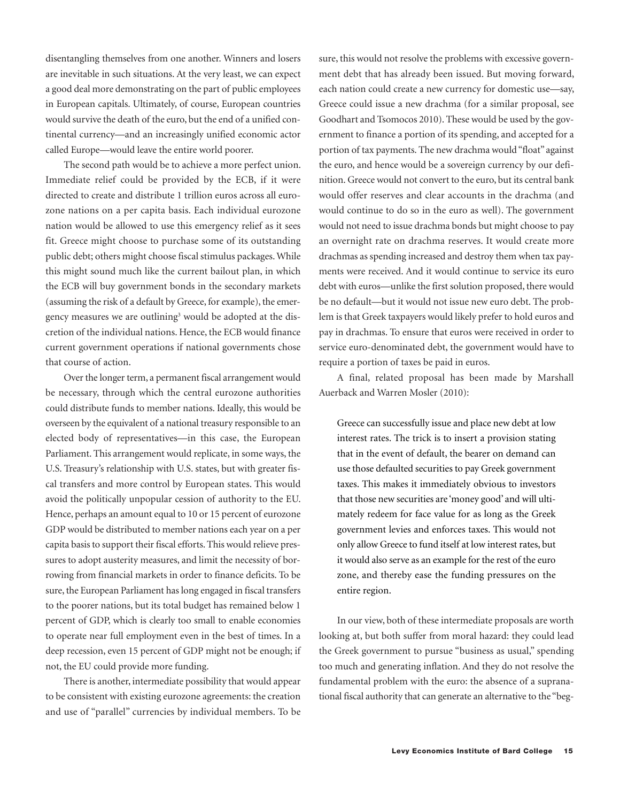disentangling themselves from one another. Winners and losers are inevitable in such situations. At the very least, we can expect a good deal more demonstrating on the part of public employees in European capitals. Ultimately, of course, European countries would survive the death of the euro, but the end of a unified continental currency—and an increasingly unified economic actor called Europe—would leave the entire world poorer.

The second path would be to achieve a more perfect union. Immediate relief could be provided by the ECB, if it were directed to create and distribute 1 trillion euros across all eurozone nations on a per capita basis. Each individual eurozone nation would be allowed to use this emergency relief as it sees fit. Greece might choose to purchase some of its outstanding public debt; others might choose fiscal stimulus packages. While this might sound much like the current bailout plan, in which the ECB will buy government bonds in the secondary markets (assuming the risk of a default by Greece, for example), the emergency measures we are outlining<sup>3</sup> would be adopted at the discretion of the individual nations. Hence, the ECB would finance current government operations if national governments chose that course of action.

Over the longer term, a permanent fiscal arrangement would be necessary, through which the central eurozone authorities could distribute funds to member nations. Ideally, this would be overseen by the equivalent of a national treasury responsible to an elected body of representatives—in this case, the European Parliament. This arrangement would replicate, in some ways, the U.S. Treasury's relationship with U.S. states, but with greater fiscal transfers and more control by European states. This would avoid the politically unpopular cession of authority to the EU. Hence, perhaps an amount equal to 10 or 15 percent of eurozone GDP would be distributed to member nations each year on a per capita basis to support their fiscal efforts. This would relieve pressures to adopt austerity measures, and limit the necessity of borrowing from financial markets in order to finance deficits. To be sure, the European Parliament has long engaged in fiscal transfers to the poorer nations, but its total budget has remained below 1 percent of GDP, which is clearly too small to enable economies to operate near full employment even in the best of times. In a deep recession, even 15 percent of GDP might not be enough; if not, the EU could provide more funding.

There is another, intermediate possibility that would appear to be consistent with existing eurozone agreements: the creation and use of "parallel" currencies by individual members. To be

sure, this would not resolve the problems with excessive government debt that has already been issued. But moving forward, each nation could create a new currency for domestic use—say, Greece could issue a new drachma (for a similar proposal, see Goodhart and Tsomocos 2010). These would be used by the government to finance a portion of its spending, and accepted for a portion of tax payments. The new drachma would "float" against the euro, and hence would be a sovereign currency by our definition. Greece would not convert to the euro, but its central bank would offer reserves and clear accounts in the drachma (and would continue to do so in the euro as well). The government would not need to issue drachma bonds but might choose to pay an overnight rate on drachma reserves. It would create more drachmas as spending increased and destroy them when tax payments were received. And it would continue to service its euro debt with euros—unlike the first solution proposed, there would be no default—but it would not issue new euro debt. The problem is that Greek taxpayers would likely prefer to hold euros and pay in drachmas. To ensure that euros were received in order to service euro-denominated debt, the government would have to require a portion of taxes be paid in euros.

A final, related proposal has been made by Marshall Auerback and Warren Mosler (2010):

Greece can successfully issue and place new debt at low interest rates. The trick is to insert a provision stating that in the event of default, the bearer on demand can use those defaulted securities to pay Greek government taxes. This makes it immediately obvious to investors that those new securities are 'money good' and will ultimately redeem for face value for as long as the Greek government levies and enforces taxes. This would not only allow Greece to fund itself at low interest rates, but it would also serve as an example for the rest of the euro zone, and thereby ease the funding pressures on the entire region.

In our view, both of these intermediate proposals are worth looking at, but both suffer from moral hazard: they could lead the Greek government to pursue "business as usual," spending too much and generating inflation. And they do not resolve the fundamental problem with the euro: the absence of a supranational fiscal authority that can generate an alternative to the "beg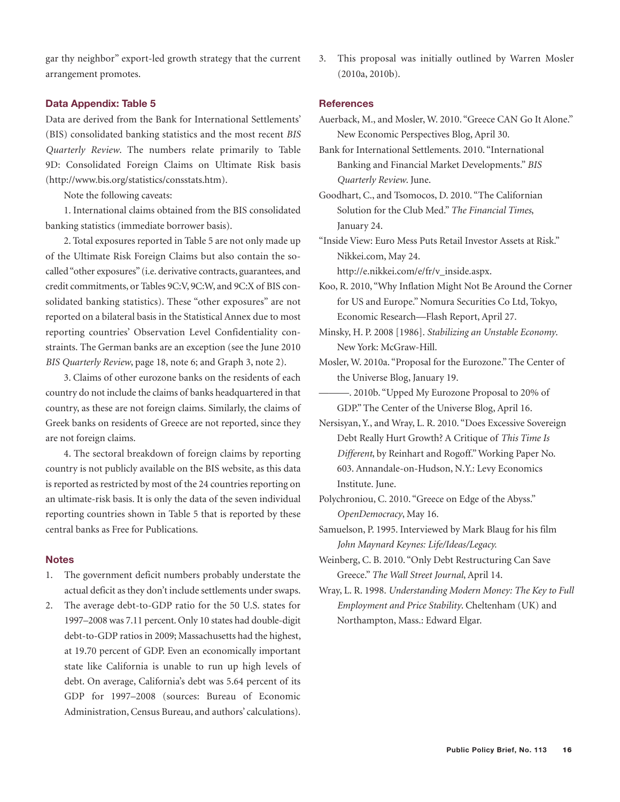gar thy neighbor" export-led growth strategy that the current arrangement promotes.

#### **Data Appendix: Table 5**

Data are derived from the Bank for International Settlements' (BIS) consolidated banking statistics and the most recent *BIS Quarterly Review*. The numbers relate primarily to Table 9D: Consolidated Foreign Claims on Ultimate Risk basis (http://www.bis.org/statistics/consstats.htm).

Note the following caveats:

1. International claims obtained from the BIS consolidated banking statistics (immediate borrower basis).

2. Total exposures reported in Table 5 are not only made up of the Ultimate Risk Foreign Claims but also contain the socalled "other exposures" (i.e. derivative contracts, guarantees, and credit commitments, or Tables 9C:V, 9C:W, and 9C:X of BIS consolidated banking statistics). These "other exposures" are not reported on a bilateral basis in the Statistical Annex due to most reporting countries' Observation Level Confidentiality constraints. The German banks are an exception (see the June 2010 *BIS Quarterly Review*, page 18, note 6; and Graph 3, note 2).

3. Claims of other eurozone banks on the residents of each country do not include the claims of banks headquartered in that country, as these are not foreign claims. Similarly, the claims of Greek banks on residents of Greece are not reported, since they are not foreign claims.

4. The sectoral breakdown of foreign claims by reporting country is not publicly available on the BIS website, as this data is reported as restricted by most of the 24 countries reporting on an ultimate-risk basis. It is only the data of the seven individual reporting countries shown in Table 5 that is reported by these central banks as Free for Publications.

### **Notes**

- 1. The government deficit numbers probably understate the actual deficit as they don't include settlements under swaps.
- 2. The average debt-to-GDP ratio for the 50 U.S. states for 1997–2008 was 7.11 percent. Only 10 states had double-digit debt-to-GDP ratios in 2009; Massachusetts had the highest, at 19.70 percent of GDP. Even an economically important state like California is unable to run up high levels of debt. On average, California's debt was 5.64 percent of its GDP for 1997–2008 (sources: Bureau of Economic Administration, Census Bureau, and authors' calculations).

3. This proposal was initially outlined by Warren Mosler (2010a, 2010b).

### **References**

Auerback, M., and Mosler, W. 2010. "Greece CAN Go It Alone." New Economic Perspectives Blog, April 30.

Bank for International Settlements. 2010. "International Banking and Financial Market Developments." *BIS Quarterly Review*. June.

Goodhart, C., and Tsomocos, D. 2010. "The Californian Solution for the Club Med." *The Financial Times*, January 24.

"Inside View: Euro Mess Puts Retail Investor Assets at Risk." Nikkei.com, May 24.

http://e.nikkei.com/e/fr/v\_inside.aspx.

Koo, R. 2010, "Why Inflation Might Not Be Around the Corner for US and Europe." Nomura Securities Co Ltd, Tokyo, Economic Research—Flash Report, April 27.

Minsky, H. P. 2008 [1986]. *Stabilizing an Unstable Economy*. New York: McGraw-Hill.

Mosler, W. 2010a. "Proposal for the Eurozone." The Center of the Universe Blog, January 19.

———. 2010b. "Upped My Eurozone Proposal to 20% of GDP." The Center of the Universe Blog, April 16.

Nersisyan, Y., and Wray, L. R. 2010. "Does Excessive Sovereign Debt Really Hurt Growth? A Critique of *This Time Is Different*, by Reinhart and Rogoff." Working Paper No. 603. Annandale-on-Hudson, N.Y.: Levy Economics Institute. June.

Polychroniou, C. 2010. "Greece on Edge of the Abyss." *OpenDemocracy*, May 16.

Samuelson, P. 1995. Interviewed by Mark Blaug for his film *John Maynard Keynes: Life/Ideas/Legacy.*

Weinberg, C. B. 2010. "Only Debt Restructuring Can Save Greece." *The Wall Street Journal*, April 14.

Wray, L. R. 1998. *Understanding Modern Money: The Key to Full Employment and Price Stability*. Cheltenham (UK) and Northampton, Mass.: Edward Elgar.